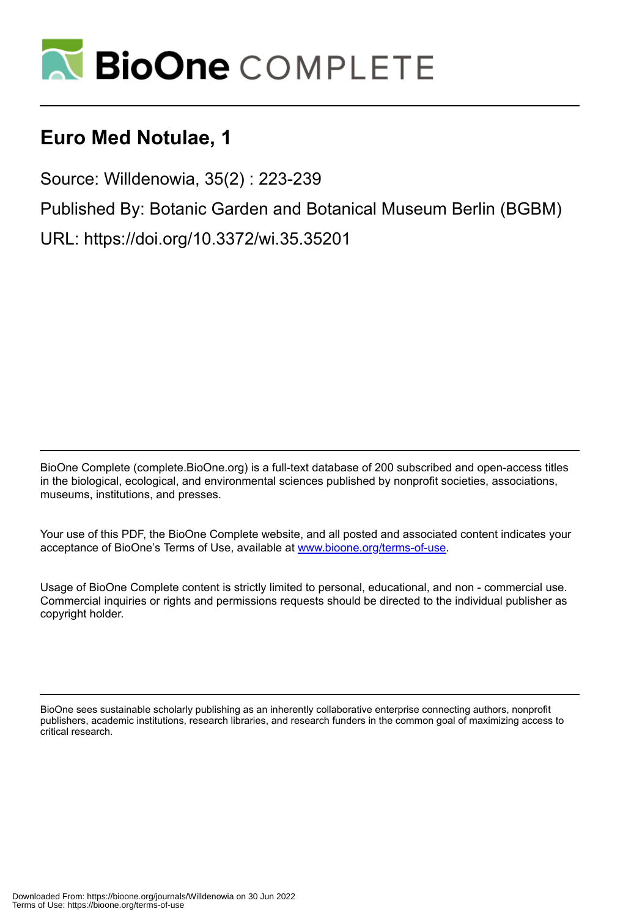

# **Euro Med Notulae, 1**

Source: Willdenowia, 35(2) : 223-239

Published By: Botanic Garden and Botanical Museum Berlin (BGBM)

URL: https://doi.org/10.3372/wi.35.35201

BioOne Complete (complete.BioOne.org) is a full-text database of 200 subscribed and open-access titles in the biological, ecological, and environmental sciences published by nonprofit societies, associations, museums, institutions, and presses.

Your use of this PDF, the BioOne Complete website, and all posted and associated content indicates your acceptance of BioOne's Terms of Use, available at www.bioone.org/terms-of-use.

Usage of BioOne Complete content is strictly limited to personal, educational, and non - commercial use. Commercial inquiries or rights and permissions requests should be directed to the individual publisher as copyright holder.

BioOne sees sustainable scholarly publishing as an inherently collaborative enterprise connecting authors, nonprofit publishers, academic institutions, research libraries, and research funders in the common goal of maximizing access to critical research.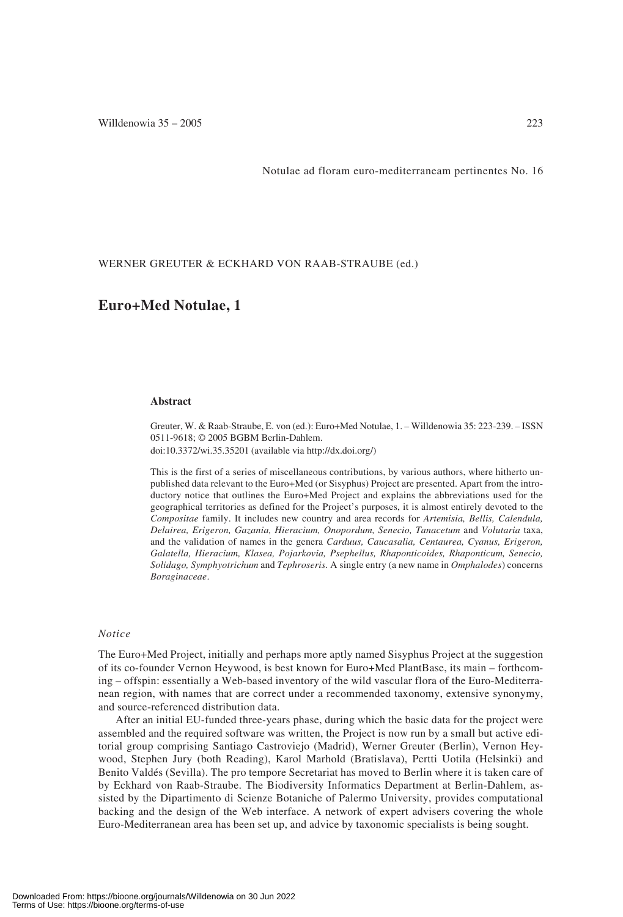Notulae ad floram euro-mediterraneam pertinentes No. 16

WERNER GREUTER & ECKHARD VON RAAB-STRAUBE (ed.)

### **Euro+Med Notulae, 1**

#### **Abstract**

Greuter, W. & Raab-Straube, E. von (ed.): Euro+Med Notulae, 1. – Willdenowia 35: 223-239. – ISSN 0511-9618; © 2005 BGBM Berlin-Dahlem. doi:10.3372/wi.35.35201 (available via http://dx.doi.org/)

This is the first of a series of miscellaneous contributions, by various authors, where hitherto unpublished data relevant to the Euro+Med (or Sisyphus) Project are presented. Apart from the introductory notice that outlines the Euro+Med Project and explains the abbreviations used for the geographical territories as defined for the Project's purposes, it is almost entirely devoted to the *Compositae* family. It includes new country and area records for *Artemisia, Bellis, Calendula, Delairea, Erigeron, Gazania, Hieracium, Onopordum, Senecio, Tanacetum* and *Volutaria* taxa, and the validation of names in the genera *Carduus, Caucasalia, Centaurea, Cyanus, Erigeron, Galatella, Hieracium, Klasea, Pojarkovia, Psephellus, Rhaponticoides, Rhaponticum, Senecio, Solidago, Symphyotrichum* and *Tephroseris.* A single entry (a new name in *Omphalodes*) concerns *Boraginaceae*.

#### *Notice*

The Euro+Med Project, initially and perhaps more aptly named Sisyphus Project at the suggestion of its co-founder Vernon Heywood, is best known for Euro+Med PlantBase, its main – forthcoming – offspin: essentially a Web-based inventory of the wild vascular flora of the Euro-Mediterranean region, with names that are correct under a recommended taxonomy, extensive synonymy, and source-referenced distribution data.

After an initial EU-funded three-years phase, during which the basic data for the project were assembled and the required software was written, the Project is now run by a small but active editorial group comprising Santiago Castroviejo (Madrid), Werner Greuter (Berlin), Vernon Heywood, Stephen Jury (both Reading), Karol Marhold (Bratislava), Pertti Uotila (Helsinki) and Benito Valdés (Sevilla). The pro tempore Secretariat has moved to Berlin where it is taken care of by Eckhard von Raab-Straube. The Biodiversity Informatics Department at Berlin-Dahlem, assisted by the Dipartimento di Scienze Botaniche of Palermo University, provides computational backing and the design of the Web interface. A network of expert advisers covering the whole Euro-Mediterranean area has been set up, and advice by taxonomic specialists is being sought.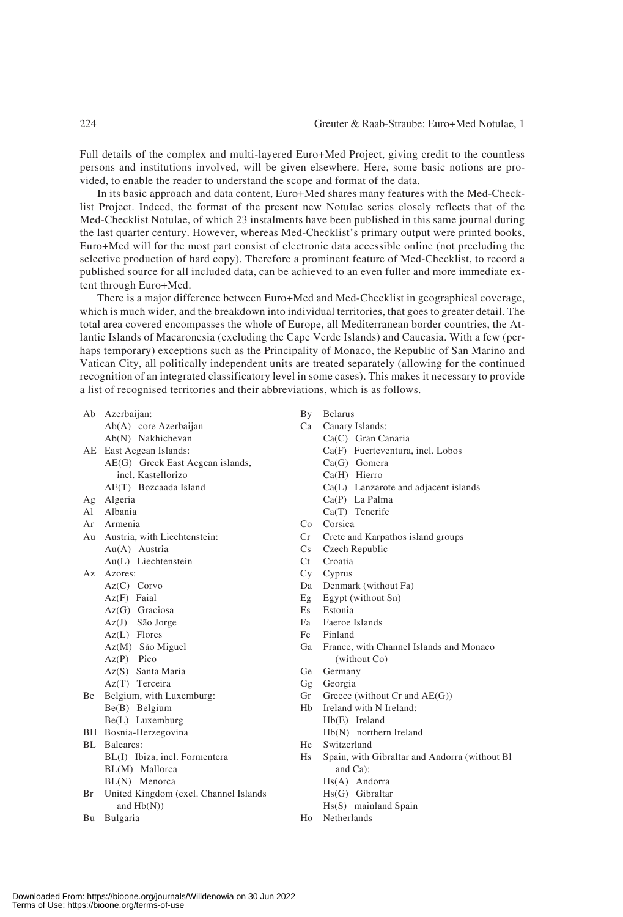Full details of the complex and multi-layered Euro+Med Project, giving credit to the countless persons and institutions involved, will be given elsewhere. Here, some basic notions are provided, to enable the reader to understand the scope and format of the data.

In its basic approach and data content, Euro+Med shares many features with the Med-Checklist Project. Indeed, the format of the present new Notulae series closely reflects that of the Med-Checklist Notulae, of which 23 instalments have been published in this same journal during the last quarter century. However, whereas Med-Checklist's primary output were printed books, Euro+Med will for the most part consist of electronic data accessible online (not precluding the selective production of hard copy). Therefore a prominent feature of Med-Checklist, to record a published source for all included data, can be achieved to an even fuller and more immediate extent through Euro+Med.

There is a major difference between Euro+Med and Med-Checklist in geographical coverage, which is much wider, and the breakdown into individual territories, that goes to greater detail. The total area covered encompasses the whole of Europe, all Mediterranean border countries, the Atlantic Islands of Macaronesia (excluding the Cape Verde Islands) and Caucasia. With a few (perhaps temporary) exceptions such as the Principality of Monaco, the Republic of San Marino and Vatican City, all politically independent units are treated separately (allowing for the continued recognition of an integrated classificatory level in some cases). This makes it necessary to provide a list of recognised territories and their abbreviations, which is as follows.

|    | Ab Azerbaijan:                         | By             | <b>Belarus</b>                                 |  |
|----|----------------------------------------|----------------|------------------------------------------------|--|
|    | $Ab(A)$ core Azerbaijan                | Ca             | Canary Islands:                                |  |
|    | Ab(N) Nakhichevan                      |                | Ca(C) Gran Canaria                             |  |
|    | AE East Aegean Islands:                |                | Ca(F) Fuerteventura, incl. Lobos               |  |
|    | AE(G) Greek East Aegean islands,       |                | Ca(G) Gomera                                   |  |
|    | incl. Kastellorizo                     |                | Ca(H) Hierro                                   |  |
|    | AE(T) Bozcaada Island                  |                | Ca(L) Lanzarote and adjacent islands           |  |
| Ag | Algeria                                |                | Ca(P) La Palma                                 |  |
| Al | Albania                                |                | Ca(T) Tenerife                                 |  |
| Ar | Armenia                                | Co             | Corsica                                        |  |
|    | Au Austria, with Liechtenstein:        | Cr             | Crete and Karpathos island groups              |  |
|    | Au(A) Austria                          | Cs.            | Czech Republic                                 |  |
|    | Au(L) Liechtenstein                    | Ct             | Croatia                                        |  |
| Az | Azores:                                | Cy             | Cyprus                                         |  |
|    | $Az(C)$ Corvo                          | Da             | Denmark (without Fa)                           |  |
|    | Az(F) Faial                            | Eg             | Egypt (without Sn)                             |  |
|    | $Az(G)$ Graciosa                       | Es             | Estonia                                        |  |
|    | Az(J) São Jorge                        | Fa             | Faeroe Islands                                 |  |
|    | $Az(L)$ Flores                         | Fe             | Finland                                        |  |
|    | Az(M) São Miguel                       | Ga             | France, with Channel Islands and Monaco        |  |
|    | $Az(P)$ Pico                           |                | (without Co)                                   |  |
|    | Az(S) Santa Maria                      | Ge             | Germany                                        |  |
|    | Az(T) Terceira                         | Gg             | Georgia                                        |  |
| Be | Belgium, with Luxemburg:               | Gr             | Greece (without $Cr$ and $AE(G)$ )             |  |
|    | Be(B) Belgium                          | H <sub>b</sub> | Ireland with N Ireland:                        |  |
|    | Be(L) Luxemburg                        |                | $Hb(E)$ Ireland                                |  |
|    | BH Bosnia-Herzegovina                  |                | $Hb(N)$ northern Ireland                       |  |
|    | BL Baleares:                           | He -           | Switzerland                                    |  |
|    | BL(I) Ibiza, incl. Formentera          | Hs             | Spain, with Gibraltar and Andorra (without Bl. |  |
|    | BL(M) Mallorca                         |                | and Ca):                                       |  |
|    | BL(N) Menorca                          |                | Hs(A) Andorra                                  |  |
| Br | United Kingdom (excl. Channel Islands) |                | Hs(G) Gibraltar                                |  |
|    | and $Hb(N)$ )                          |                | Hs(S) mainland Spain                           |  |
| Bu | Bulgaria                               | H <sub>0</sub> | Netherlands                                    |  |
|    |                                        |                |                                                |  |
|    |                                        |                |                                                |  |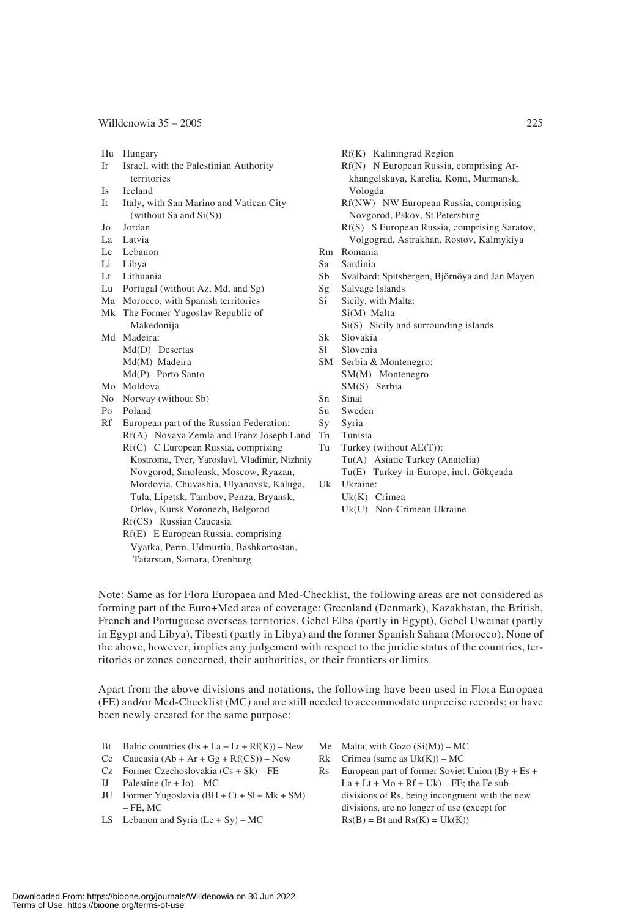- 
- Ir Israel, with the Palestinian Authority Rf(N) N European Russia, comprising Ar-
- Is Iceland Vologda
- It Italy, with San Marino and Vatican City Rf(NW) NW European Russia, comprising (without Sa and Si(S)) Novgorod, Pskov, St Petersburg
- 
- 
- 
- 
- Li Libya Sa Sardinia
- Lu Portugal (without Az, Md, and Sg) Sg Salvage Islands
- Ma Morocco, with Spanish territories Si Sicily, with Malta:
- Mk The Former Yugoslav Republic of Si(M) Malta Makedonija Si(S) Sicily and surrounding islands
- Md Madeira: Sk Slovakia Md(D) Desertas Sl Slovenia Md(M) Madeira SM Serbia & Montenegro:
	-
- No Norway (without Sb) Sn Sinai
- Po Poland Su Sweden
- Rf European part of the Russian Federation: Sy Syria Rf(A) Novaya Zemla and Franz Joseph Land Tn Tunisia Rf(C) C European Russia, comprising Tu Turkey (without AE(T)):
	- Novgorod, Smolensk, Moscow, Ryazan, Tu(E) Turkey-in-Europe, incl. Gökçeada Mordovia, Chuvashia, Ulyanovsk, Kaluga, Uk Ukraine:
		- Tula, Lipetsk, Tambov, Penza, Bryansk, Uk(K) Crimea
			-
	- Rf(CS) Russian Caucasia
	- Rf(E) E European Russia, comprising
	- Vyatka, Perm, Udmurtia, Bashkortostan, Tatarstan, Samara, Orenburg
- Hu Hungary Rf(K) Kaliningrad Region
	- territories khangelskaya, Karelia, Komi, Murmansk,
		-
- Jo Jordan Rf(S) S European Russia, comprising Saratov, La Latvia (2003)<br>
Rf(S) S European Russia, comprising Saratov, La Latvia (2004)<br>
Rf(S) S European Russia, comprising Saratov, La Latvia (2004) Volgograd, Astrakhan, Rostov, Kalmykiya
- Le Lebanon Rm Romania<br>
Li Libya Sa Sardinia
	-
	- Sb Svalbard: Spitsbergen, Björnöya and Jan Mayen
	-
	-
	-
	-
	-
	-
- Md(P) Porto Santo SM(M) Montenegro Mo Moldova SM(S) Serbia
	-
	-
	-
	-
	- Kostroma, Tver, Yaroslavl, Vladimir, Nizhniy Tu(A) Asiatic Turkey (Anatolia)
		-
		- -
	- Orlov, Kursk Voronezh, Belgorod Uk(U) Non-Crimean Ukraine

Note: Same as for Flora Europaea and Med-Checklist, the following areas are not considered as forming part of the Euro+Med area of coverage: Greenland (Denmark), Kazakhstan, the British, French and Portuguese overseas territories, Gebel Elba (partly in Egypt), Gebel Uweinat (partly in Egypt and Libya), Tibesti (partly in Libya) and the former Spanish Sahara (Morocco). None of the above, however, implies any judgement with respect to the juridic status of the countries, territories or zones concerned, their authorities, or their frontiers or limits.

Apart from the above divisions and notations, the following have been used in Flora Europaea (FE) and/or Med-Checklist (MC) and are still needed to accommodate unprecise records; or have been newly created for the same purpose:

- Bt Baltic countries  $(Es + La + Lt + Rf(K))$  New Me Malta, with Gozo  $(Si(M))$  MC
- Cc Caucasia  $(Ab + Ar + Gg + Rf(CS))$  New Rk Crimea (same as Uk(K)) MC
- 
- 
- 
- 
- 
- 
- Cz Former Czechoslovakia (Cs + Sk) FE Rs European part of former Soviet Union (By + Es + IJ Palestine  $(Ir + Jo) - MC$  La + Lt + Mo + Rf + Uk) – FE; the Fe sub-JU Former Yugoslavia  $(BH + Ct + SI + Mk + SM)$  divisions of Rs, being incongruent with the new – FE, MC divisions, are no longer of use (except for LS Lebanon and Syria  $(Le + Sy) - MC$   $Rs(B) = Bt$  and  $Rs(K) = Uk(K)$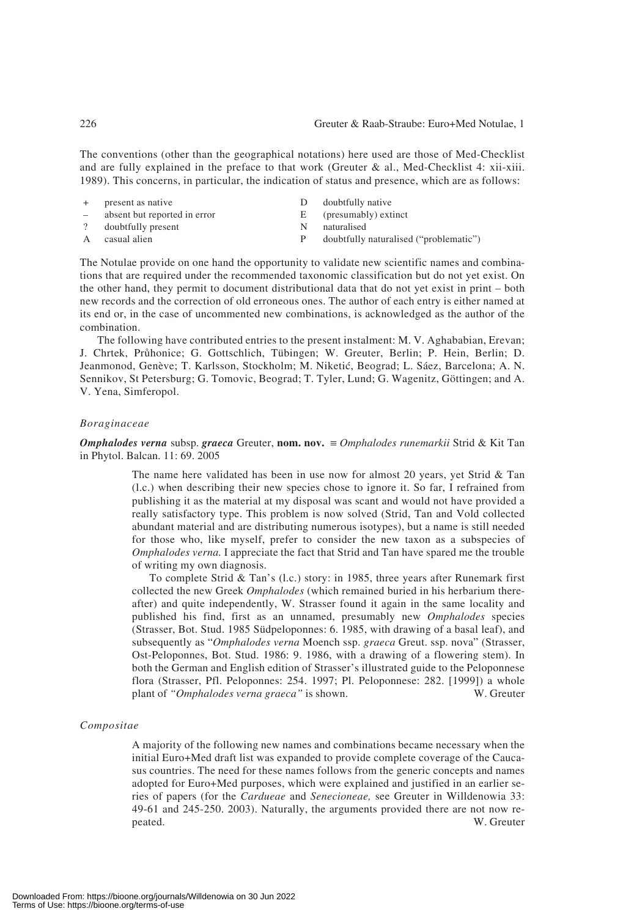The conventions (other than the geographical notations) here used are those of Med-Checklist and are fully explained in the preface to that work (Greuter  $\&$  al., Med-Checklist 4: xii-xiii. 1989). This concerns, in particular, the indication of status and presence, which are as follows:

|              | + present as native          |    | doubtfully native                      |
|--------------|------------------------------|----|----------------------------------------|
| $\sim$       | absent but reported in error | E. | (presumably) extinct                   |
|              | ? doubtfully present         | N  | naturalised                            |
| $\mathbf{A}$ | casual alien                 |    | doubtfully naturalised ("problematic") |

The Notulae provide on one hand the opportunity to validate new scientific names and combinations that are required under the recommended taxonomic classification but do not yet exist. On the other hand, they permit to document distributional data that do not yet exist in print – both new records and the correction of old erroneous ones. The author of each entry is either named at its end or, in the case of uncommented new combinations, is acknowledged as the author of the combination.

The following have contributed entries to the present instalment: M. V. Aghababian, Erevan; J. Chrtek, Prôhonice; G. Gottschlich, Tübingen; W. Greuter, Berlin; P. Hein, Berlin; D. Jeanmonod, Genève; T. Karlsson, Stockholm; M. Niketić, Beograd; L. Sáez, Barcelona; A. N. Sennikov, St Petersburg; G. Tomovic, Beograd; T. Tyler, Lund; G. Wagenitz, Göttingen; and A. V. Yena, Simferopol.

#### *Boraginaceae*

*Omphalodes verna* subsp. *graeca* Greuter, **nom. nov.** ≡ *Omphalodes runemarkii* Strid & Kit Tan in Phytol. Balcan. 11: 69. 2005

> The name here validated has been in use now for almost 20 years, yet Strid & Tan (l.c.) when describing their new species chose to ignore it. So far, I refrained from publishing it as the material at my disposal was scant and would not have provided a really satisfactory type. This problem is now solved (Strid, Tan and Vold collected abundant material and are distributing numerous isotypes), but a name is still needed for those who, like myself, prefer to consider the new taxon as a subspecies of *Omphalodes verna.* I appreciate the fact that Strid and Tan have spared me the trouble of writing my own diagnosis.

> To complete Strid & Tan's (l.c.) story: in 1985, three years after Runemark first collected the new Greek *Omphalodes* (which remained buried in his herbarium thereafter) and quite independently, W. Strasser found it again in the same locality and published his find, first as an unnamed, presumably new *Omphalodes* species (Strasser, Bot. Stud. 1985 Südpeloponnes: 6. 1985, with drawing of a basal leaf), and subsequently as "*Omphalodes verna* Moench ssp. *graeca* Greut. ssp. nova" (Strasser, Ost-Peloponnes, Bot. Stud. 1986: 9. 1986, with a drawing of a flowering stem). In both the German and English edition of Strasser's illustrated guide to the Peloponnese flora (Strasser, Pfl. Peloponnes: 254. 1997; Pl. Peloponnese: 282. [1999]) a whole plant of *"Omphalodes verna graeca"* is shown. W. Greuter

#### *Compositae*

A majority of the following new names and combinations became necessary when the initial Euro+Med draft list was expanded to provide complete coverage of the Caucasus countries. The need for these names follows from the generic concepts and names adopted for Euro+Med purposes, which were explained and justified in an earlier series of papers (for the *Cardueae* and *Senecioneae,* see Greuter in Willdenowia 33: 49-61 and 245-250. 2003). Naturally, the arguments provided there are not now repeated. W. Greuter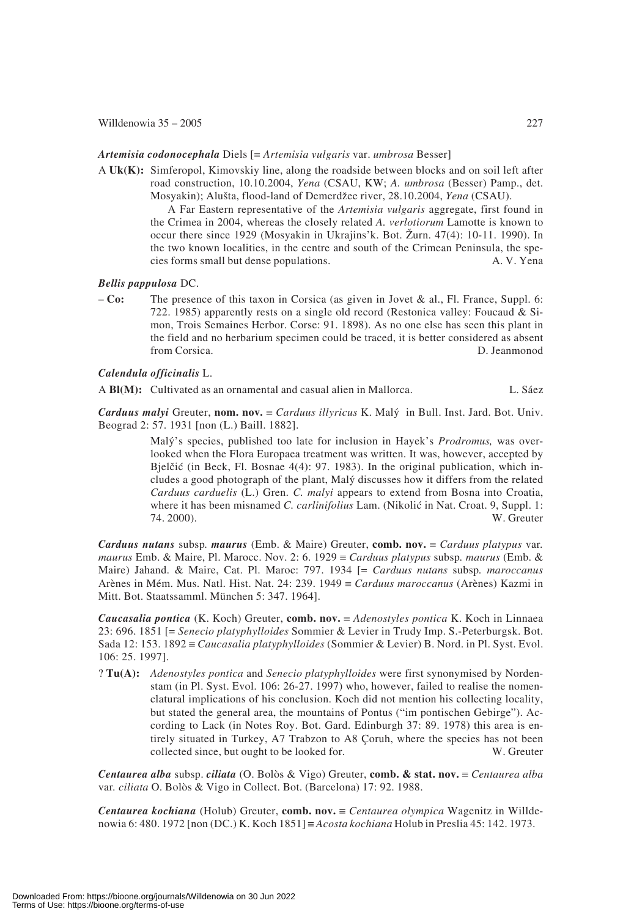#### *Artemisia codonocephala* Diels [= *Artemisia vulgaris* var. *umbrosa* Besser]

A **Uk(K):** Simferopol, Kimovskiy line, along the roadside between blocks and on soil left after road construction, 10.10.2004, *Yena* (CSAU, KW; *A. umbrosa* (Besser) Pamp., det. Mosyakin); Alusta, flood-land of Demerdzee river, 28.10.2004, *Yena* (CSAU).

A Far Eastern representative of the *Artemisia vulgaris* aggregate, first found in the Crimea in 2004, whereas the closely related *A. verlotiorum* Lamotte is known to occur there since 1929 (Mosyakin in Ukrajins'k. Bot. Zurn. 47(4): 10-11. 1990). In the two known localities, in the centre and south of the Crimean Peninsula, the species forms small but dense populations. A. V. Yena

#### *Bellis pappulosa* DC.

– **Co:** The presence of this taxon in Corsica (as given in Jovet & al., Fl. France, Suppl. 6: 722. 1985) apparently rests on a single old record (Restonica valley: Foucaud & Simon, Trois Semaines Herbor. Corse: 91. 1898). As no one else has seen this plant in the field and no herbarium specimen could be traced, it is better considered as absent from Corsica. D. Jeanmonod

#### *Calendula officinalis* L.

A **Bl(M):** Cultivated as an ornamental and casual alien in Mallorca. L. Sáez

*Carduus malyi* Greuter, **nom. nov.** ≡ *Carduus illyricus* K. Maly in Bull. Inst. Jard. Bot. Univ. Beograd 2: 57. 1931 [non (L.) Baill. 1882].

> Maly's species, published too late for inclusion in Hayek's *Prodromus,* was overlooked when the Flora Europaea treatment was written. It was, however, accepted by Bjelčić (in Beck, Fl. Bosnae  $4(4)$ : 97. 1983). In the original publication, which includes a good photograph of the plant, Maly discusses how it differs from the related *Carduus carduelis* (L.) Gren. *C. malyi* appears to extend from Bosna into Croatia, where it has been misnamed *C. carlinifolius* Lam. (Nikolić in Nat. Croat. 9, Suppl. 1: 74. 2000). W. Greuter

*Carduus nutans* subsp*. maurus* (Emb. & Maire) Greuter, **comb. nov.** ≡ *Carduus platypus* var*. maurus* Emb. & Maire, Pl. Marocc. Nov. 2: 6. 1929 ≡ *Carduus platypus* subsp*. maurus* (Emb. & Maire) Jahand. & Maire, Cat. Pl. Maroc: 797. 1934 [= *Carduus nutans* subsp*. maroccanus* Arènes in Mém. Mus. Natl. Hist. Nat. 24: 239. 1949 ≡ *Carduus maroccanus* (Arènes) Kazmi in Mitt. Bot. Staatssamml. München 5: 347. 1964].

*Caucasalia pontica* (K. Koch) Greuter, **comb. nov.** ≡ *Adenostyles pontica* K. Koch in Linnaea 23: 696. 1851 [= *Senecio platyphylloides* Sommier & Levier in Trudy Imp. S.-Peterburgsk. Bot. Sada 12: 153. 1892 ≡ *Caucasalia platyphylloides* (Sommier & Levier) B. Nord. in Pl. Syst. Evol. 106: 25. 1997].

? **Tu(A):** *Adenostyles pontica* and *Senecio platyphylloides* were first synonymised by Nordenstam (in Pl. Syst. Evol. 106: 26-27. 1997) who, however, failed to realise the nomenclatural implications of his conclusion. Koch did not mention his collecting locality, but stated the general area, the mountains of Pontus ("im pontischen Gebirge"). According to Lack (in Notes Roy. Bot. Gard. Edinburgh 37: 89. 1978) this area is entirely situated in Turkey, A7 Trabzon to A8 Çoruh, where the species has not been collected since, but ought to be looked for. W. Greuter

*Centaurea alba* subsp. *ciliata* (O. Bolòs & Vigo) Greuter, **comb. & stat. nov.** ≡ *Centaurea alba* var*. ciliata* O. Bolòs & Vigo in Collect. Bot. (Barcelona) 17: 92. 1988.

*Centaurea kochiana* (Holub) Greuter, **comb. nov.** ≡ *Centaurea olympica* Wagenitz in Willdenowia 6: 480. 1972 [non (DC.) K. Koch 1851] ≡ *Acosta kochiana* Holub in Preslia 45: 142. 1973.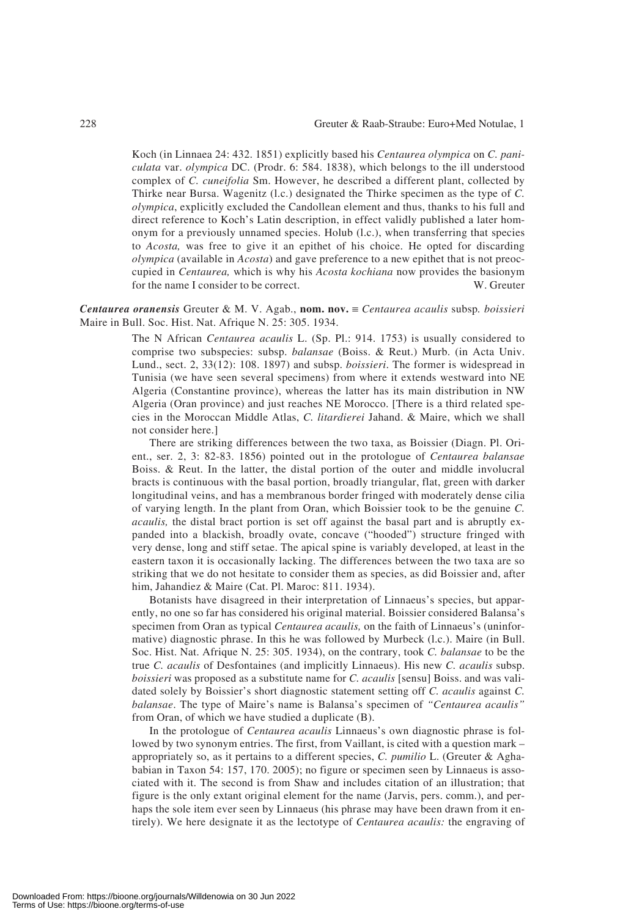Koch (in Linnaea 24: 432. 1851) explicitly based his *Centaurea olympica* on *C. paniculata* var. *olympica* DC. (Prodr. 6: 584. 1838), which belongs to the ill understood complex of *C. cuneifolia* Sm. However, he described a different plant, collected by Thirke near Bursa. Wagenitz (l.c.) designated the Thirke specimen as the type of *C. olympica*, explicitly excluded the Candollean element and thus, thanks to his full and direct reference to Koch's Latin description, in effect validly published a later homonym for a previously unnamed species. Holub (l.c.), when transferring that species to *Acosta,* was free to give it an epithet of his choice. He opted for discarding *olympica* (available in *Acosta*) and gave preference to a new epithet that is not preoccupied in *Centaurea,* which is why his *Acosta kochiana* now provides the basionym for the name I consider to be correct. W. Greuter

#### *Centaurea oranensis* Greuter & M. V. Agab., **nom. nov.** ≡ *Centaurea acaulis* subsp*. boissieri* Maire in Bull. Soc. Hist. Nat. Afrique N. 25: 305. 1934.

The N African *Centaurea acaulis* L. (Sp. Pl.: 914. 1753) is usually considered to comprise two subspecies: subsp. *balansae* (Boiss. & Reut.) Murb. (in Acta Univ. Lund., sect. 2, 33(12): 108. 1897) and subsp. *boissieri*. The former is widespread in Tunisia (we have seen several specimens) from where it extends westward into NE Algeria (Constantine province), whereas the latter has its main distribution in NW Algeria (Oran province) and just reaches NE Morocco. [There is a third related species in the Moroccan Middle Atlas, *C. litardierei* Jahand. & Maire, which we shall not consider here.]

There are striking differences between the two taxa, as Boissier (Diagn. Pl. Orient., ser. 2, 3: 82-83. 1856) pointed out in the protologue of *Centaurea balansae* Boiss. & Reut. In the latter, the distal portion of the outer and middle involucral bracts is continuous with the basal portion, broadly triangular, flat, green with darker longitudinal veins, and has a membranous border fringed with moderately dense cilia of varying length. In the plant from Oran, which Boissier took to be the genuine *C. acaulis,* the distal bract portion is set off against the basal part and is abruptly expanded into a blackish, broadly ovate, concave ("hooded") structure fringed with very dense, long and stiff setae. The apical spine is variably developed, at least in the eastern taxon it is occasionally lacking. The differences between the two taxa are so striking that we do not hesitate to consider them as species, as did Boissier and, after him, Jahandiez & Maire (Cat. Pl. Maroc: 811. 1934).

Botanists have disagreed in their interpretation of Linnaeus's species, but apparently, no one so far has considered his original material. Boissier considered Balansa's specimen from Oran as typical *Centaurea acaulis,* on the faith of Linnaeus's (uninformative) diagnostic phrase. In this he was followed by Murbeck (l.c.). Maire (in Bull. Soc. Hist. Nat. Afrique N. 25: 305. 1934), on the contrary, took *C. balansae* to be the true *C. acaulis* of Desfontaines (and implicitly Linnaeus). His new *C. acaulis* subsp. *boissieri* was proposed as a substitute name for *C. acaulis* [sensu] Boiss. and was validated solely by Boissier's short diagnostic statement setting off *C. acaulis* against *C. balansae*. The type of Maire's name is Balansa's specimen of *"Centaurea acaulis"* from Oran, of which we have studied a duplicate (B).

In the protologue of *Centaurea acaulis* Linnaeus's own diagnostic phrase is followed by two synonym entries. The first, from Vaillant, is cited with a question mark – appropriately so, as it pertains to a different species, *C. pumilio* L. (Greuter & Aghababian in Taxon 54: 157, 170. 2005); no figure or specimen seen by Linnaeus is associated with it. The second is from Shaw and includes citation of an illustration; that figure is the only extant original element for the name (Jarvis, pers. comm.), and perhaps the sole item ever seen by Linnaeus (his phrase may have been drawn from it entirely). We here designate it as the lectotype of *Centaurea acaulis:* the engraving of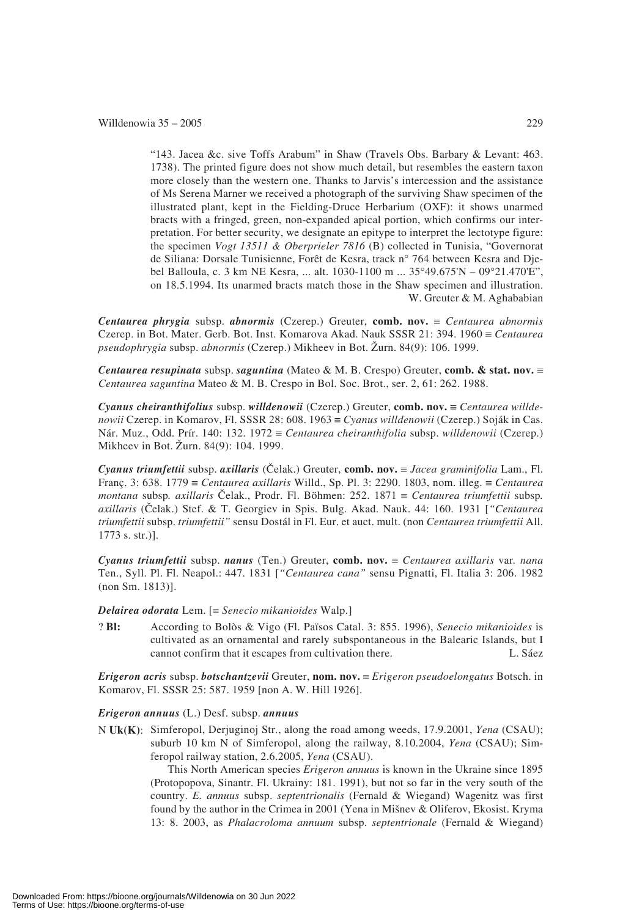"143. Jacea &c. sive Toffs Arabum" in Shaw (Travels Obs. Barbary & Levant: 463. 1738). The printed figure does not show much detail, but resembles the eastern taxon more closely than the western one. Thanks to Jarvis's intercession and the assistance of Ms Serena Marner we received a photograph of the surviving Shaw specimen of the illustrated plant, kept in the Fielding-Druce Herbarium (OXF): it shows unarmed bracts with a fringed, green, non-expanded apical portion, which confirms our interpretation. For better security, we designate an epitype to interpret the lectotype figure: the specimen *Vogt 13511 & Oberprieler 7816* (B) collected in Tunisia, "Governorat de Siliana: Dorsale Tunisienne, Forêt de Kesra, track n° 764 between Kesra and Djebel Balloula, c. 3 km NE Kesra, ... alt. 1030-1100 m ... 35°49.675'N – 09°21.470'E", on 18.5.1994. Its unarmed bracts match those in the Shaw specimen and illustration. W. Greuter & M. Aghababian

*Centaurea phrygia* subsp. *abnormis* (Czerep.) Greuter, **comb. nov.** ≡ *Centaurea abnormis* Czerep. in Bot. Mater. Gerb. Bot. Inst. Komarova Akad. Nauk SSSR 21: 394. 1960 ≡ *Centaurea pseudophrygia* subsp. *abnormis* (Czerep.) Mikheev in Bot. Zurn. 84(9): 106. 1999.

*Centaurea resupinata* subsp. *saguntina* (Mateo & M. B. Crespo) Greuter, **comb. & stat. nov.** ≡ *Centaurea saguntina* Mateo & M. B. Crespo in Bol. Soc. Brot., ser. 2, 61: 262. 1988.

*Cyanus cheiranthifolius* subsp. *willdenowii* (Czerep.) Greuter, **comb. nov.** ≡ *Centaurea willdenowii* Czerep. in Komarov, Fl. SSSR 28: 608. 1963 ≡ *Cyanus willdenowii* (Czerep.) Soják in Cas. Nár. Muz., Odd. Prír. 140: 132. 1972 ≡ *Centaurea cheiranthifolia* subsp. *willdenowii* (Czerep.) Mikheev in Bot. Zurn. 84(9): 104. 1999.

*Cyanus triumfettii* subsp. *axillaris* (Celak.) Greuter, **comb. nov.** ≡ *Jacea graminifolia* Lam., Fl. Franç. 3: 638. 1779 ≡ *Centaurea axillaris* Willd., Sp. Pl. 3: 2290. 1803, nom. illeg. ≡ *Centaurea montana* subsp*. axillaris* Celak., Prodr. Fl. Böhmen: 252. 1871 ≡ *Centaurea triumfettii* subsp*. axillaris* (Celak.) Stef. & T. Georgiev in Spis. Bulg. Akad. Nauk. 44: 160. 1931 [*"Centaurea triumfettii* subsp. *triumfettii"* sensu Dostál in Fl. Eur. et auct. mult. (non *Centaurea triumfettii* All. 1773 s. str.)].

*Cyanus triumfettii* subsp. *nanus* (Ten.) Greuter, **comb. nov.** ≡ *Centaurea axillaris* var*. nana* Ten., Syll. Pl. Fl. Neapol.: 447. 1831 [*"Centaurea cana"* sensu Pignatti, Fl. Italia 3: 206. 1982 (non Sm. 1813)].

*Delairea odorata* Lem. [= *Senecio mikanioides* Walp.]

? **Bl:** According to Bolòs & Vigo (Fl. Països Catal. 3: 855. 1996), *Senecio mikanioides* is cultivated as an ornamental and rarely subspontaneous in the Balearic Islands, but I cannot confirm that it escapes from cultivation there. L. Sáez

*Erigeron acris* subsp. *botschantzevii* Greuter, **nom. nov.** ≡ *Erigeron pseudoelongatus* Botsch. in Komarov, Fl. SSSR 25: 587. 1959 [non A. W. Hill 1926].

*Erigeron annuus* (L.) Desf. subsp. *annuus*

N **Uk(K)**: Simferopol, Derjuginoj Str., along the road among weeds, 17.9.2001, *Yena* (CSAU); suburb 10 km N of Simferopol, along the railway, 8.10.2004, *Yena* (CSAU); Simferopol railway station, 2.6.2005, *Yena* (CSAU).

This North American species *Erigeron annuus* is known in the Ukraine since 1895 (Protopopova, Sinantr. Fl. Ukrainy: 181. 1991), but not so far in the very south of the country. *E. annuus* subsp. *septentrionalis* (Fernald & Wiegand) Wagenitz was first found by the author in the Crimea in 2001 (Yena in Misnev & Oliferov, Ekosist. Kryma 13: 8. 2003, as *Phalacroloma annuum* subsp. *septentrionale* (Fernald & Wiegand)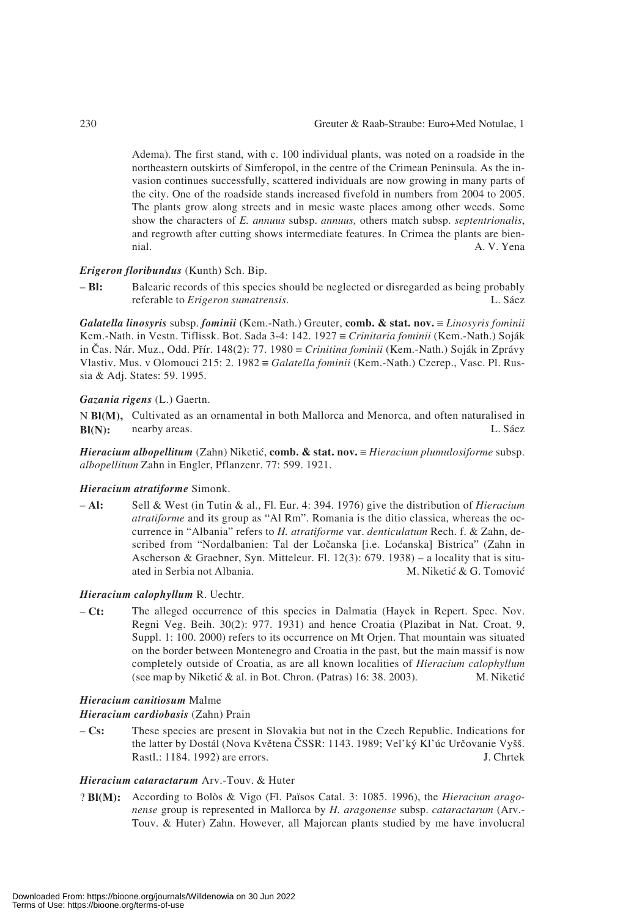Adema). The first stand, with c. 100 individual plants, was noted on a roadside in the northeastern outskirts of Simferopol, in the centre of the Crimean Peninsula. As the invasion continues successfully, scattered individuals are now growing in many parts of the city. One of the roadside stands increased fivefold in numbers from 2004 to 2005. The plants grow along streets and in mesic waste places among other weeds. Some show the characters of *E. annuus* subsp. *annuus,* others match subsp. *septentrionalis*, and regrowth after cutting shows intermediate features. In Crimea the plants are biennial. A. V. Yena

#### *Erigeron floribundus* (Kunth) Sch. Bip.

– **Bl:** Balearic records of this species should be neglected or disregarded as being probably referable to *Erigeron sumatrensis.* L. Sáez

*Galatella linosyris* subsp. *fominii* (Kem.-Nath.) Greuter, **comb. & stat. nov.** ≡ *Linosyris fominii* Kem.-Nath. in Vestn. Tiflissk. Bot. Sada 3-4: 142. 1927 ≡ *Crinitaria fominii* (Kem.-Nath.) Soják in Cas. Nár. Muz., Odd. Prír. 148(2): 77. 1980 ≡ *Crinitina fominii* (Kem.-Nath.) Soják in Zprávy Vlastiv. Mus. v Olomouci 215: 2. 1982 ≡ *Galatella fominii* (Kem.-Nath.) Czerep., Vasc. Pl. Russia & Adj. States: 59. 1995.

#### *Gazania rigens* (L.) Gaertn.

N **Bl(M),** Cultivated as an ornamental in both Mallorca and Menorca, and often naturalised in **Bl(N):** nearby areas. L. Sáez

*Hieracium albopellitum* (Zahn) Niketi6, **comb. & stat. nov.** ≡ *Hieracium plumulosiforme* subsp. *albopellitum* Zahn in Engler, Pflanzenr. 77: 599. 1921.

#### *Hieracium atratiforme* Simonk.

– **Al:** Sell & West (in Tutin & al., Fl. Eur. 4: 394. 1976) give the distribution of *Hieracium atratiforme* and its group as "Al Rm". Romania is the ditio classica, whereas the occurrence in "Albania" refers to *H. atratiforme* var. *denticulatum* Rech. f. & Zahn, described from "Nordalbanien: Tal der Locanska [i.e. Lo6anska] Bistrica" (Zahn in Ascherson & Graebner, Syn. Mitteleur. Fl.  $12(3)$ : 679. 1938) – a locality that is situated in Serbia not Albania. M. Niketić & G. Tomović

#### *Hieracium calophyllum* R. Uechtr.

– **Ct:** The alleged occurrence of this species in Dalmatia (Hayek in Repert. Spec. Nov. Regni Veg. Beih. 30(2): 977. 1931) and hence Croatia (Plazibat in Nat. Croat. 9, Suppl. 1: 100. 2000) refers to its occurrence on Mt Orjen. That mountain was situated on the border between Montenegro and Croatia in the past, but the main massif is now completely outside of Croatia, as are all known localities of *Hieracium calophyllum* (see map by Niketić & al. in Bot. Chron. (Patras) 16: 38. 2003). M. Niketić

#### *Hieracium canitiosum* Malme

#### *Hieracium cardiobasis* (Zahn) Prain

– **Cs:** These species are present in Slovakia but not in the Czech Republic. Indications for the latter by Dostál (Nova Květena ČSSR: 1143. 1989; Vel'ký Kl'úc Určovanie Vyšš. Rastl.: 1184. 1992) are errors. J. Chrtek

#### *Hieracium cataractarum* Arv.-Touv. & Huter

? **Bl(M):** According to Bolòs & Vigo (Fl. Països Catal. 3: 1085. 1996), the *Hieracium aragonense* group is represented in Mallorca by *H. aragonense* subsp. *cataractarum* (Arv.- Touv. & Huter) Zahn. However, all Majorcan plants studied by me have involucral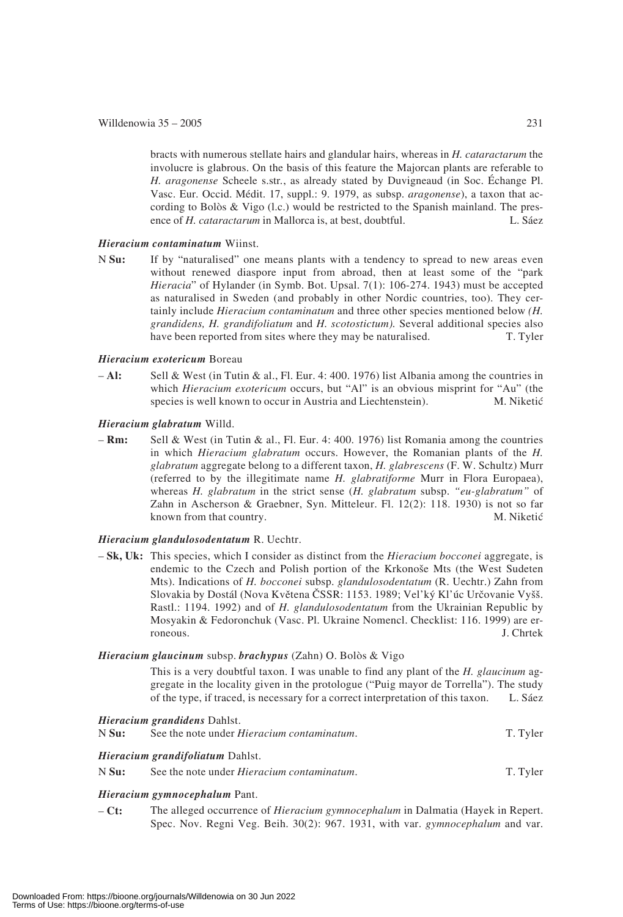bracts with numerous stellate hairs and glandular hairs, whereas in *H. cataractarum* the involucre is glabrous. On the basis of this feature the Majorcan plants are referable to *H. aragonense* Scheele s.str*.*, as already stated by Duvigneaud (in Soc. Échange Pl. Vasc. Eur. Occid. Médit. 17, suppl.: 9. 1979, as subsp. *aragonense*), a taxon that according to Bolòs & Vigo (l.c.) would be restricted to the Spanish mainland. The presence of *H. cataractarum* in Mallorca is, at best, doubtful. L. Sáez

#### *Hieracium contaminatum* Wiinst.

N **Su:** If by "naturalised" one means plants with a tendency to spread to new areas even without renewed diaspore input from abroad, then at least some of the "park *Hieracia*" of Hylander (in Symb. Bot. Upsal. 7(1): 106-274. 1943) must be accepted as naturalised in Sweden (and probably in other Nordic countries, too). They certainly include *Hieracium contaminatum* and three other species mentioned below *(H. grandidens, H. grandifoliatum* and *H. scotostictum).* Several additional species also have been reported from sites where they may be naturalised. T. Tyler

#### *Hieracium exotericum* Boreau

– **Al:** Sell & West (in Tutin & al., Fl. Eur. 4: 400. 1976) list Albania among the countries in which *Hieracium exotericum* occurs, but "Al" is an obvious misprint for "Au" (the species is well known to occur in Austria and Liechtenstein). M. Niketić species is well known to occur in Austria and Liechtenstein).

#### *Hieracium glabratum* Willd.

– **Rm:** Sell & West (in Tutin & al., Fl. Eur. 4: 400. 1976) list Romania among the countries in which *Hieracium glabratum* occurs. However, the Romanian plants of the *H. glabratum* aggregate belong to a different taxon, *H. glabrescens* (F. W. Schultz) Murr (referred to by the illegitimate name *H. glabratiforme* Murr in Flora Europaea), whereas *H. glabratum* in the strict sense (*H. glabratum* subsp. *"eu-glabratum"* of Zahn in Ascherson & Graebner, Syn. Mitteleur. Fl. 12(2): 118. 1930) is not so far known from that country. M. Niketić

#### *Hieracium glandulosodentatum* R. Uechtr.

– **Sk, Uk:** This species, which I consider as distinct from the *Hieracium bocconei* aggregate, is endemic to the Czech and Polish portion of the Krkonose Mts (the West Sudeten Mts). Indications of *H. bocconei* subsp. *glandulosodentatum* (R. Uechtr.) Zahn from Slovakia by Dostál (Nova Květena ČSSR: 1153. 1989; Vel'ký Kl'úc Určovanie Vyšš. Rastl.: 1194. 1992) and of *H. glandulosodentatum* from the Ukrainian Republic by Mosyakin & Fedoronchuk (Vasc. Pl. Ukraine Nomencl. Checklist: 116. 1999) are erroneous. J. Chrtek

#### *Hieracium glaucinum* subsp. *brachypus* (Zahn) O. Bolòs & Vigo

This is a very doubtful taxon. I was unable to find any plant of the *H. glaucinum* aggregate in the locality given in the protologue ("Puig mayor de Torrella"). The study of the type, if traced, is necessary for a correct interpretation of this taxon. L. Sáez

|       | <i>Hieracium grandidens Dahlst.</i>                |          |
|-------|----------------------------------------------------|----------|
| N Su: | See the note under <i>Hieracium contaminatum</i> . | T. Tyler |
|       | <i>Hieracium grandifoliatum Dahlst.</i>            |          |
| N Su: | See the note under <i>Hieracium contaminatum</i> . | T. Tyler |
|       |                                                    |          |

#### *Hieracium gymnocephalum* Pant.

– **Ct:** The alleged occurrence of *Hieracium gymnocephalum* in Dalmatia (Hayek in Repert. Spec. Nov. Regni Veg. Beih. 30(2): 967. 1931, with var. *gymnocephalum* and var.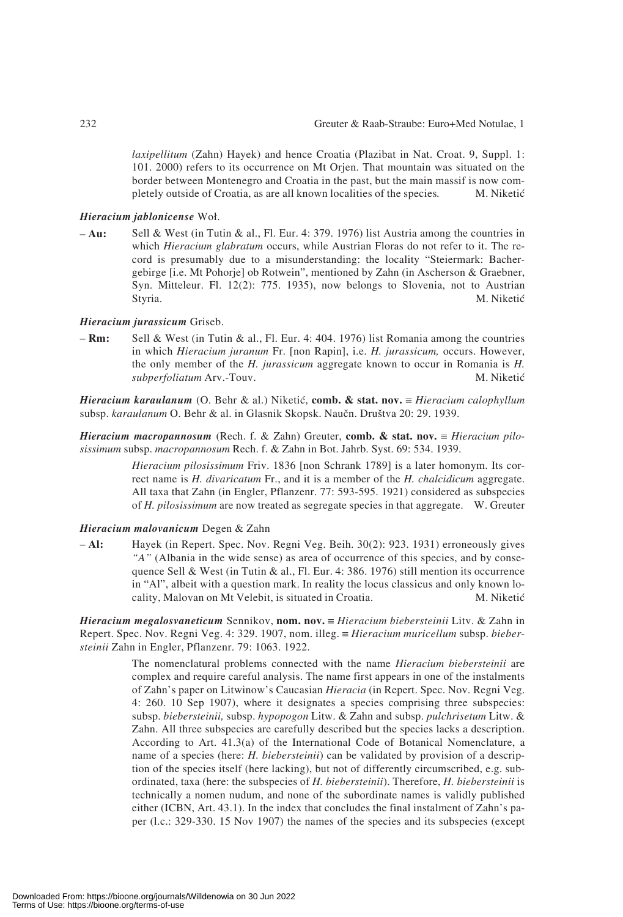*laxipellitum* (Zahn) Hayek) and hence Croatia (Plazibat in Nat. Croat. 9, Suppl. 1: 101. 2000) refers to its occurrence on Mt Orjen. That mountain was situated on the border between Montenegro and Croatia in the past, but the main massif is now completely outside of Croatia, as are all known localities of the species. M. Niketić

#### *Hieracium jablonicense* Woł.

– **Au:** Sell & West (in Tutin & al., Fl. Eur. 4: 379. 1976) list Austria among the countries in which *Hieracium glabratum* occurs, while Austrian Floras do not refer to it. The record is presumably due to a misunderstanding: the locality "Steiermark: Bachergebirge [i.e. Mt Pohorje] ob Rotwein", mentioned by Zahn (in Ascherson & Graebner, Syn. Mitteleur. Fl. 12(2): 775. 1935), now belongs to Slovenia, not to Austrian Styria. M. Niketić

#### *Hieracium jurassicum* Griseb.

– **Rm:** Sell & West (in Tutin & al., Fl. Eur. 4: 404. 1976) list Romania among the countries in which *Hieracium juranum* Fr. [non Rapin], i.e. *H. jurassicum,* occurs. However, the only member of the *H. jurassicum* aggregate known to occur in Romania is *H. subperfoliatum* Arv.-Touv. M. Niketić

*Hieracium karaulanum* (O. Behr & al.) Niketi6, **comb. & stat. nov.** ≡ *Hieracium calophyllum* subsp. *karaulanum* O. Behr & al. in Glasnik Skopsk. Naucn. Drustva 20: 29. 1939.

*Hieracium macropannosum* (Rech. f. & Zahn) Greuter, **comb. & stat. nov.** ≡ *Hieracium pilosissimum* subsp. *macropannosum* Rech. f. & Zahn in Bot. Jahrb. Syst. 69: 534. 1939.

> *Hieracium pilosissimum* Friv. 1836 [non Schrank 1789] is a later homonym. Its correct name is *H. divaricatum* Fr., and it is a member of the *H. chalcidicum* aggregate. All taxa that Zahn (in Engler, Pflanzenr. 77: 593-595. 1921) considered as subspecies of *H. pilosissimum* are now treated as segregate species in that aggregate. W. Greuter

#### *Hieracium malovanicum* Degen & Zahn

– **Al:** Hayek (in Repert. Spec. Nov. Regni Veg. Beih. 30(2): 923. 1931) erroneously gives *"A"* (Albania in the wide sense) as area of occurrence of this species, and by consequence Sell & West (in Tutin & al., Fl. Eur. 4: 386. 1976) still mention its occurrence in "Al", albeit with a question mark. In reality the locus classicus and only known locality, Malovan on Mt Velebit, is situated in Croatia. M. Niketić

*Hieracium megalosvaneticum* Sennikov, **nom. nov.** ≡ *Hieracium biebersteinii* Litv. & Zahn in Repert. Spec. Nov. Regni Veg. 4: 329. 1907, nom. illeg. ≡ *Hieracium muricellum* subsp. *biebersteinii* Zahn in Engler, Pflanzenr. 79: 1063. 1922.

> The nomenclatural problems connected with the name *Hieracium biebersteinii* are complex and require careful analysis. The name first appears in one of the instalments of Zahn's paper on Litwinow's Caucasian *Hieracia* (in Repert. Spec. Nov. Regni Veg. 4: 260. 10 Sep 1907), where it designates a species comprising three subspecies: subsp. *biebersteinii,* subsp. *hypopogon* Litw. & Zahn and subsp. *pulchrisetum* Litw. & Zahn. All three subspecies are carefully described but the species lacks a description. According to Art. 41.3(a) of the International Code of Botanical Nomenclature, a name of a species (here: *H. biebersteinii*) can be validated by provision of a description of the species itself (here lacking), but not of differently circumscribed, e.g. subordinated, taxa (here: the subspecies of *H. biebersteinii*). Therefore, *H. biebersteinii* is technically a nomen nudum, and none of the subordinate names is validly published either (ICBN, Art. 43.1). In the index that concludes the final instalment of Zahn's paper (l.c.: 329-330. 15 Nov 1907) the names of the species and its subspecies (except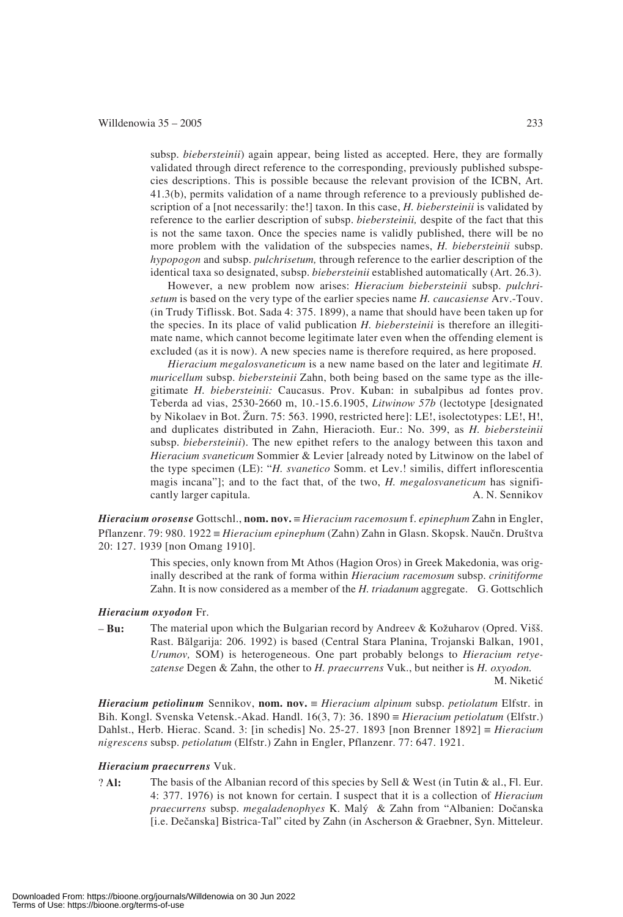subsp. *biebersteinii*) again appear, being listed as accepted. Here, they are formally validated through direct reference to the corresponding, previously published subspecies descriptions. This is possible because the relevant provision of the ICBN, Art. 41.3(b), permits validation of a name through reference to a previously published description of a [not necessarily: the!] taxon. In this case, *H. biebersteinii* is validated by reference to the earlier description of subsp. *biebersteinii,* despite of the fact that this is not the same taxon. Once the species name is validly published, there will be no more problem with the validation of the subspecies names, *H. biebersteinii* subsp. *hypopogon* and subsp. *pulchrisetum,* through reference to the earlier description of the identical taxa so designated, subsp. *biebersteinii* established automatically (Art. 26.3).

However, a new problem now arises: *Hieracium biebersteinii* subsp. *pulchrisetum* is based on the very type of the earlier species name *H. caucasiense* Arv.-Touv. (in Trudy Tiflissk. Bot. Sada 4: 375. 1899), a name that should have been taken up for the species. In its place of valid publication *H. biebersteinii* is therefore an illegitimate name, which cannot become legitimate later even when the offending element is excluded (as it is now). A new species name is therefore required, as here proposed.

*Hieracium megalosvaneticum* is a new name based on the later and legitimate *H. muricellum* subsp. *biebersteinii* Zahn, both being based on the same type as the illegitimate *H. biebersteinii:* Caucasus. Prov. Kuban: in subalpibus ad fontes prov. Teberda ad vias, 2530-2660 m, 10.-15.6.1905, *Litwinow 57b* (lectotype [designated by Nikolaev in Bot. Zurn. 75: 563. 1990, restricted here]: LE!, isolectotypes: LE!, H!, and duplicates distributed in Zahn, Hieracioth. Eur.: No. 399, as *H. biebersteinii* subsp. *biebersteinii*). The new epithet refers to the analogy between this taxon and *Hieracium svaneticum* Sommier & Levier [already noted by Litwinow on the label of the type specimen (LE): "*H. svanetico* Somm. et Lev.! similis, differt inflorescentia magis incana"]; and to the fact that, of the two, *H. megalosvaneticum* has significantly larger capitula. A. N. Sennikov

*Hieracium orosense* Gottschl., **nom. nov.** ≡ *Hieracium racemosum* f. *epinephum* Zahn in Engler, Pflanzenr. 79: 980. 1922 ≡ *Hieracium epinephum* (Zahn) Zahn in Glasn. Skopsk. Naucn. Drustva 20: 127. 1939 [non Omang 1910].

> This species, only known from Mt Athos (Hagion Oros) in Greek Makedonia, was originally described at the rank of forma within *Hieracium racemosum* subsp. *crinitiforme* Zahn. It is now considered as a member of the *H. triadanum* aggregate. G. Gottschlich

#### *Hieracium oxyodon* Fr.

– **Bu:** The material upon which the Bulgarian record by Andreev & Kozuharov (Opred. Viss. Rast. Bblgarija: 206. 1992) is based (Central Stara Planina, Trojanski Balkan, 1901, *Urumov,* SOM) is heterogeneous. One part probably belongs to *Hieracium retyezatense* Degen & Zahn, the other to *H. praecurrens* Vuk., but neither is *H. oxyodon.* M. Niketić

*Hieracium petiolinum* Sennikov, **nom. nov.** ≡ *Hieracium alpinum* subsp. *petiolatum* Elfstr. in Bih. Kongl. Svenska Vetensk.-Akad. Handl. 16(3, 7): 36. 1890 ≡ *Hieracium petiolatum* (Elfstr.) Dahlst., Herb. Hierac. Scand. 3: [in schedis] No. 25-27. 1893 [non Brenner 1892] ≡ *Hieracium nigrescens* subsp. *petiolatum* (Elfstr.) Zahn in Engler, Pflanzenr. 77: 647. 1921.

#### *Hieracium praecurrens* Vuk.

? **Al:** The basis of the Albanian record of this species by Sell & West (in Tutin & al., Fl. Eur. 4: 377. 1976) is not known for certain. I suspect that it is a collection of *Hieracium praecurrens* subsp. *megaladenophyes* K. Maly & Zahn from "Albanien: Docanska [i.e. Decanska] Bistrica-Tal" cited by Zahn (in Ascherson & Graebner, Syn. Mitteleur.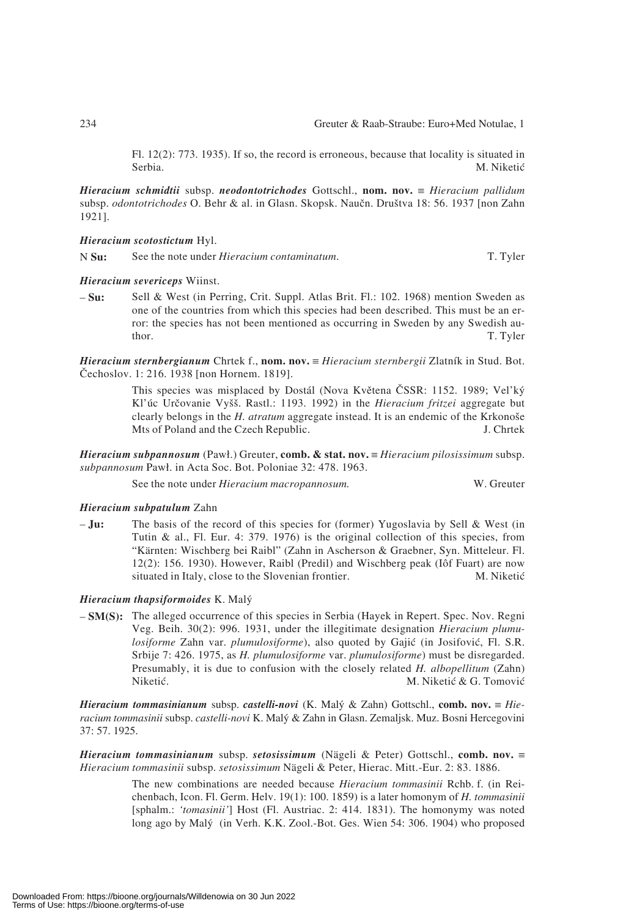Fl. 12(2): 773. 1935). If so, the record is erroneous, because that locality is situated in Serbia. M. Niketić

*Hieracium schmidtii* subsp. *neodontotrichodes* Gottschl., **nom. nov.** ≡ *Hieracium pallidum* subsp. *odontotrichodes* O. Behr & al. in Glasn. Skopsk. Naucn. Drustva 18: 56. 1937 [non Zahn 1921].

#### *Hieracium scotostictum* Hyl.

N **Su:** See the note under *Hieracium contaminatum*. T. Tyler

#### *Hieracium severiceps* Wiinst.

– **Su:** Sell & West (in Perring, Crit. Suppl. Atlas Brit. Fl.: 102. 1968) mention Sweden as one of the countries from which this species had been described. This must be an error: the species has not been mentioned as occurring in Sweden by any Swedish author. T. Tyler

*Hieracium sternbergianum* Chrtek f., **nom. nov.** ≡ *Hieracium sternbergii* Zlatník in Stud. Bot. Cechoslov. 1: 216. 1938 [non Hornem. 1819].

> This species was misplaced by Dostál (Nova Kvetena CSSR: 1152. 1989; Vel'ky Kl'úc Určovanie Vyšš. Rastl.: 1193. 1992) in the *Hieracium fritzei* aggregate but clearly belongs in the *H. atratum* aggregate instead. It is an endemic of the Krkonose Mts of Poland and the Czech Republic. J. Chrtek

*Hieracium subpannosum* (Paw!.) Greuter, **comb. & stat. nov.** ≡ *Hieracium pilosissimum* subsp. subpannosum Pawł. in Acta Soc. Bot. Poloniae 32: 478. 1963.

See the note under *Hieracium macropannosum.* W. Greuter

#### *Hieracium subpatulum* Zahn

– **Ju:** The basis of the record of this species for (former) Yugoslavia by Sell & West (in Tutin & al., Fl. Eur. 4: 379. 1976) is the original collection of this species, from "Kärnten: Wischberg bei Raibl" (Zahn in Ascherson & Graebner, Syn. Mitteleur. Fl. 12(2): 156. 1930). However, Raibl (Predil) and Wischberg peak (Iôf Fuart) are now situated in Italy, close to the Slovenian frontier. M. Niketić

#### *Hieracium thapsiformoides* K. Maly

– **SM(S):** The alleged occurrence of this species in Serbia (Hayek in Repert. Spec. Nov. Regni Veg. Beih. 30(2): 996. 1931, under the illegitimate designation *Hieracium plumulosiforme* Zahn var. *plumulosiforme*), also quoted by Gajić (in Josifović, Fl. S.R. Srbije 7: 426. 1975, as *H. plumulosiforme* var. *plumulosiforme*) must be disregarded. Presumably, it is due to confusion with the closely related *H. albopellitum* (Zahn) Niketić. M. Niketić & G. Tomović

*Hieracium tommasinianum* subsp. *castelli-novi* (K. Maly & Zahn) Gottschl., **comb. nov.** ≡ *Hieracium tommasinii* subsp. *castelli-novi* K. Maly & Zahn in Glasn. Zemaljsk. Muz. Bosni Hercegovini 37: 57. 1925.

*Hieracium tommasinianum* subsp. *setosissimum* (Nägeli & Peter) Gottschl., **comb. nov.** ≡ *Hieracium tommasinii* subsp. *setosissimum* Nägeli & Peter, Hierac. Mitt.-Eur. 2: 83. 1886.

> The new combinations are needed because *Hieracium tommasinii* Rchb. f. (in Reichenbach, Icon. Fl. Germ. Helv. 19(1): 100. 1859) is a later homonym of *H. tommasinii* [sphalm.: *'tomasinii'*] Host (Fl. Austriac. 2: 414. 1831). The homonymy was noted long ago by Maly (in Verh. K.K. Zool.-Bot. Ges. Wien 54: 306. 1904) who proposed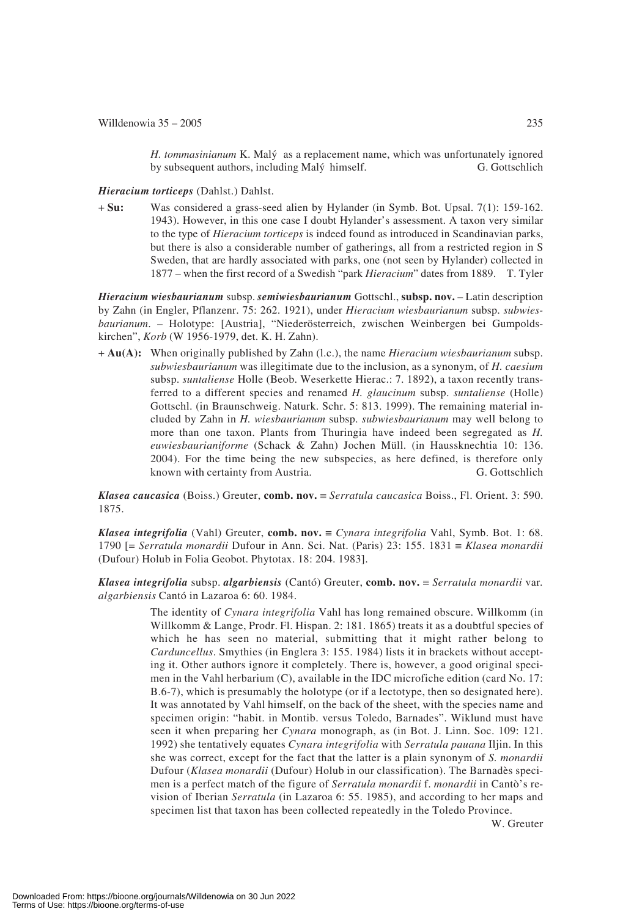*H. tommasinianum* K. Maly as a replacement name, which was unfortunately ignored by subsequent authors, including Maly himself. G. Gottschlich

#### *Hieracium torticeps* (Dahlst.) Dahlst.

+ **Su:** Was considered a grass-seed alien by Hylander (in Symb. Bot. Upsal. 7(1): 159-162. 1943). However, in this one case I doubt Hylander's assessment. A taxon very similar to the type of *Hieracium torticeps* is indeed found as introduced in Scandinavian parks, but there is also a considerable number of gatherings, all from a restricted region in S Sweden, that are hardly associated with parks, one (not seen by Hylander) collected in 1877 – when the first record of a Swedish "park *Hieracium*" dates from 1889. T. Tyler

*Hieracium wiesbaurianum* subsp. *semiwiesbaurianum* Gottschl., **subsp. nov.** – Latin description by Zahn (in Engler, Pflanzenr. 75: 262. 1921), under *Hieracium wiesbaurianum* subsp. *subwiesbaurianum*. – Holotype: [Austria], "Niederösterreich, zwischen Weinbergen bei Gumpoldskirchen", *Korb* (W 1956-1979, det. K. H. Zahn).

+ **Au(A):** When originally published by Zahn (l.c.), the name *Hieracium wiesbaurianum* subsp. *subwiesbaurianum* was illegitimate due to the inclusion, as a synonym, of *H. caesium* subsp. *suntaliense* Holle (Beob. Weserkette Hierac.: 7. 1892), a taxon recently transferred to a different species and renamed *H. glaucinum* subsp. *suntaliense* (Holle) Gottschl. (in Braunschweig. Naturk. Schr. 5: 813. 1999). The remaining material included by Zahn in *H. wiesbaurianum* subsp. *subwiesbaurianum* may well belong to more than one taxon. Plants from Thuringia have indeed been segregated as *H. euwiesbaurianiforme* (Schack & Zahn) Jochen Müll. (in Haussknechtia 10: 136. 2004). For the time being the new subspecies, as here defined, is therefore only known with certainty from Austria. G. Gottschlich

*Klasea caucasica* (Boiss.) Greuter, **comb. nov.** ≡ *Serratula caucasica* Boiss., Fl. Orient. 3: 590. 1875.

*Klasea integrifolia* (Vahl) Greuter, **comb. nov.** ≡ *Cynara integrifolia* Vahl, Symb. Bot. 1: 68. 1790 [= *Serratula monardii* Dufour in Ann. Sci. Nat. (Paris) 23: 155. 1831 ≡ *Klasea monardii* (Dufour) Holub in Folia Geobot. Phytotax. 18: 204. 1983].

*Klasea integrifolia* subsp. *algarbiensis* (Cantó) Greuter, **comb. nov.** ≡ *Serratula monardii* var*. algarbiensis* Cantó in Lazaroa 6: 60. 1984.

> The identity of *Cynara integrifolia* Vahl has long remained obscure. Willkomm (in Willkomm & Lange, Prodr. Fl. Hispan. 2: 181. 1865) treats it as a doubtful species of which he has seen no material, submitting that it might rather belong to *Carduncellus*. Smythies (in Englera 3: 155. 1984) lists it in brackets without accepting it. Other authors ignore it completely. There is, however, a good original specimen in the Vahl herbarium (C), available in the IDC microfiche edition (card No. 17: B.6-7), which is presumably the holotype (or if a lectotype, then so designated here). It was annotated by Vahl himself, on the back of the sheet, with the species name and specimen origin: "habit. in Montib. versus Toledo, Barnades". Wiklund must have seen it when preparing her *Cynara* monograph, as (in Bot. J. Linn. Soc. 109: 121. 1992) she tentatively equates *Cynara integrifolia* with *Serratula pauana* Iljin. In this she was correct, except for the fact that the latter is a plain synonym of *S. monardii* Dufour (*Klasea monardii* (Dufour) Holub in our classification). The Barnadès specimen is a perfect match of the figure of *Serratula monardii* f. *monardii* in Cantò's revision of Iberian *Serratula* (in Lazaroa 6: 55. 1985), and according to her maps and specimen list that taxon has been collected repeatedly in the Toledo Province.

W. Greuter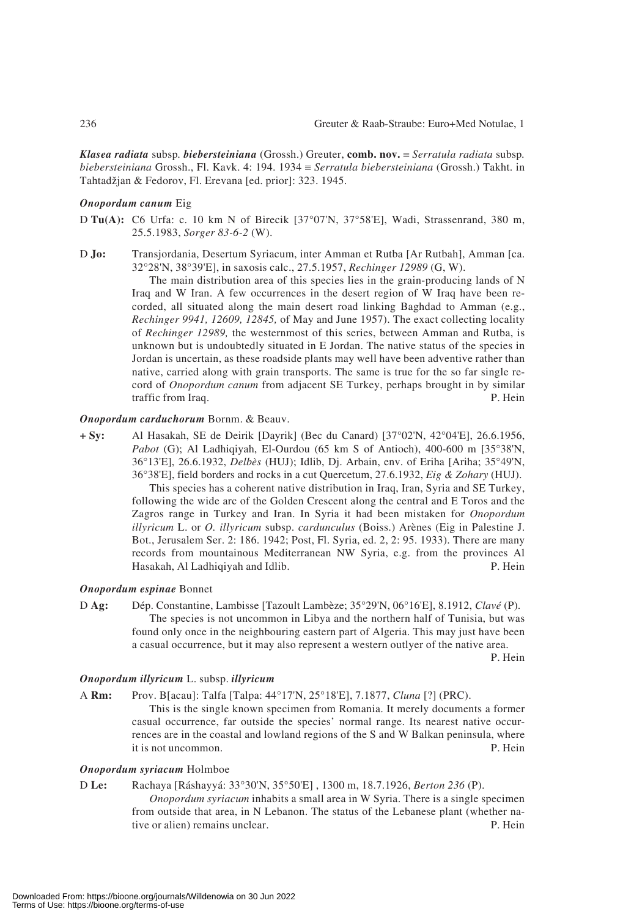*Klasea radiata* subsp*. biebersteiniana* (Grossh.) Greuter, **comb. nov.** ≡ *Serratula radiata* subsp*. biebersteiniana* Grossh., Fl. Kavk. 4: 194. 1934 ≡ *Serratula biebersteiniana* (Grossh.) Takht. in Tahtadžjan & Fedorov, Fl. Erevana [ed. prior]: 323. 1945.

#### *Onopordum canum* Eig

- D **Tu(A):** C6 Urfa: c. 10 km N of Birecik [37°07'N, 37°58'E], Wadi, Strassenrand, 380 m, 25.5.1983, *Sorger 83-6-2* (W).
- D **Jo:** Transjordania, Desertum Syriacum, inter Amman et Rutba [Ar Rutbah], Amman [ca. 32°28'N, 38°39'E], in saxosis calc., 27.5.1957, *Rechinger 12989* (G, W).

The main distribution area of this species lies in the grain-producing lands of N Iraq and W Iran. A few occurrences in the desert region of W Iraq have been recorded, all situated along the main desert road linking Baghdad to Amman (e.g., *Rechinger 9941, 12609, 12845,* of May and June 1957). The exact collecting locality of *Rechinger 12989,* the westernmost of this series, between Amman and Rutba, is unknown but is undoubtedly situated in E Jordan. The native status of the species in Jordan is uncertain, as these roadside plants may well have been adventive rather than native, carried along with grain transports. The same is true for the so far single record of *Onopordum canum* from adjacent SE Turkey, perhaps brought in by similar traffic from Iraq. P. Hein

#### *Onopordum carduchorum* Bornm. & Beauv.

**+ Sy:** Al Hasakah, SE de Deirik [Dayrik] (Bec du Canard) [37°02'N, 42°04'E], 26.6.1956, *Pabot* (G); Al Ladhiqiyah, El-Ourdou (65 km S of Antioch), 400-600 m [35°38'N, 36°13'E], 26.6.1932, *Delbès* (HUJ); Idlib, Dj. Arbain, env. of Eriha [Ariha; 35°49'N, 36°38'E], field borders and rocks in a cut Quercetum, 27.6.1932, *Eig & Zohary* (HUJ). This species has a coherent native distribution in Iraq, Iran, Syria and SE Turkey, following the wide arc of the Golden Crescent along the central and E Toros and the Zagros range in Turkey and Iran. In Syria it had been mistaken for *Onopordum illyricum* L. or *O. illyricum* subsp. *cardunculus* (Boiss.) Arènes (Eig in Palestine J. Bot., Jerusalem Ser. 2: 186. 1942; Post, Fl. Syria, ed. 2, 2: 95. 1933). There are many records from mountainous Mediterranean NW Syria, e.g. from the provinces Al Hasakah, Al Ladhiqiyah and Idlib. P. Hein

#### *Onopordum espinae* Bonnet

D **Ag:** Dép. Constantine, Lambisse [Tazoult Lambèze; 35°29'N, 06°16'E], 8.1912, *Clavé* (P). The species is not uncommon in Libya and the northern half of Tunisia, but was found only once in the neighbouring eastern part of Algeria. This may just have been a casual occurrence, but it may also represent a western outlyer of the native area.

P. Hein

#### *Onopordum illyricum* L. subsp. *illyricum*

A **Rm:** Prov. B[acau]: Talfa [Talpa: 44°17'N, 25°18'E], 7.1877, *Cluna* [?] (PRC).

This is the single known specimen from Romania. It merely documents a former casual occurrence, far outside the species' normal range. Its nearest native occurrences are in the coastal and lowland regions of the S and W Balkan peninsula, where it is not uncommon. P. Hein

#### *Onopordum syriacum* Holmboe

## D **Le:** Rachaya [Ráshayyá: 33°30'N, 35°50'E] , 1300 m, 18.7.1926, *Berton 236* (P).

*Onopordum syriacum* inhabits a small area in W Syria. There is a single specimen from outside that area, in N Lebanon. The status of the Lebanese plant (whether native or alien) remains unclear. P. Hein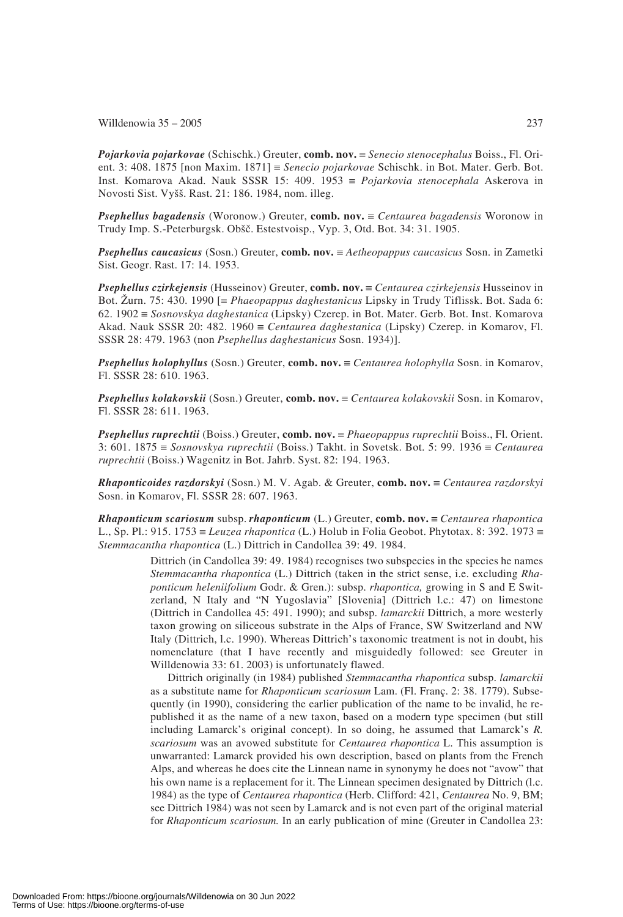*Pojarkovia pojarkovae* (Schischk.) Greuter, **comb. nov.** ≡ *Senecio stenocephalus* Boiss., Fl. Orient. 3: 408. 1875 [non Maxim. 1871] ≡ *Senecio pojarkovae* Schischk. in Bot. Mater. Gerb. Bot. Inst. Komarova Akad. Nauk SSSR 15: 409. 1953 ≡ *Pojarkovia stenocephala* Askerova in Novosti Sist. Vyss. Rast. 21: 186. 1984, nom. illeg.

*Psephellus bagadensis* (Woronow.) Greuter, **comb. nov.** ≡ *Centaurea bagadensis* Woronow in Trudy Imp. S.-Peterburgsk. Obšč. Estestvoisp., Vyp. 3, Otd. Bot. 34: 31. 1905.

*Psephellus caucasicus* (Sosn.) Greuter, **comb. nov.** ≡ *Aetheopappus caucasicus* Sosn. in Zametki Sist. Geogr. Rast. 17: 14. 1953.

*Psephellus czirkejensis* (Husseinov) Greuter, **comb. nov.** ≡ *Centaurea czirkejensis* Husseinov in Bot. Zurn. 75: 430. 1990 [= *Phaeopappus daghestanicus* Lipsky in Trudy Tiflissk. Bot. Sada 6: 62. 1902 ≡ *Sosnovskya daghestanica* (Lipsky) Czerep. in Bot. Mater. Gerb. Bot. Inst. Komarova Akad. Nauk SSSR 20: 482. 1960 ≡ *Centaurea daghestanica* (Lipsky) Czerep. in Komarov, Fl. SSSR 28: 479. 1963 (non *Psephellus daghestanicus* Sosn. 1934)].

*Psephellus holophyllus* (Sosn.) Greuter, **comb. nov.** ≡ *Centaurea holophylla* Sosn. in Komarov, Fl. SSSR 28: 610. 1963.

*Psephellus kolakovskii* (Sosn.) Greuter, **comb. nov.** ≡ *Centaurea kolakovskii* Sosn. in Komarov, Fl. SSSR 28: 611. 1963.

*Psephellus ruprechtii* (Boiss.) Greuter, **comb. nov.** ≡ *Phaeopappus ruprechtii* Boiss., Fl. Orient. 3: 601. 1875 ≡ *Sosnovskya ruprechtii* (Boiss.) Takht. in Sovetsk. Bot. 5: 99. 1936 ≡ *Centaurea ruprechtii* (Boiss.) Wagenitz in Bot. Jahrb. Syst. 82: 194. 1963.

*Rhaponticoides razdorskyi* (Sosn.) M. V. Agab. & Greuter, **comb. nov.** ≡ *Centaurea razdorskyi* Sosn. in Komarov, Fl. SSSR 28: 607. 1963.

*Rhaponticum scariosum* subsp. *rhaponticum* (L.) Greuter, **comb. nov.** ≡ *Centaurea rhapontica* L., Sp. Pl.: 915. 1753 ≡ *Leuzea rhapontica* (L.) Holub in Folia Geobot. Phytotax. 8: 392. 1973 ≡ *Stemmacantha rhapontica* (L.) Dittrich in Candollea 39: 49. 1984.

> Dittrich (in Candollea 39: 49. 1984) recognises two subspecies in the species he names *Stemmacantha rhapontica* (L.) Dittrich (taken in the strict sense, i.e. excluding *Rhaponticum heleniifolium* Godr. & Gren.): subsp. *rhapontica,* growing in S and E Switzerland, N Italy and "N Yugoslavia" [Slovenia] (Dittrich l.c.: 47) on limestone (Dittrich in Candollea 45: 491. 1990); and subsp. *lamarckii* Dittrich, a more westerly taxon growing on siliceous substrate in the Alps of France, SW Switzerland and NW Italy (Dittrich, l.c. 1990). Whereas Dittrich's taxonomic treatment is not in doubt, his nomenclature (that I have recently and misguidedly followed: see Greuter in Willdenowia 33: 61. 2003) is unfortunately flawed.

> Dittrich originally (in 1984) published *Stemmacantha rhapontica* subsp. *lamarckii* as a substitute name for *Rhaponticum scariosum* Lam. (Fl. Franç. 2: 38. 1779). Subsequently (in 1990), considering the earlier publication of the name to be invalid, he republished it as the name of a new taxon, based on a modern type specimen (but still including Lamarck's original concept). In so doing, he assumed that Lamarck's *R. scariosum* was an avowed substitute for *Centaurea rhapontica* L. This assumption is unwarranted: Lamarck provided his own description, based on plants from the French Alps, and whereas he does cite the Linnean name in synonymy he does not "avow" that his own name is a replacement for it. The Linnean specimen designated by Dittrich (l.c. 1984) as the type of *Centaurea rhapontica* (Herb. Clifford: 421, *Centaurea* No. 9, BM; see Dittrich 1984) was not seen by Lamarck and is not even part of the original material for *Rhaponticum scariosum.* In an early publication of mine (Greuter in Candollea 23: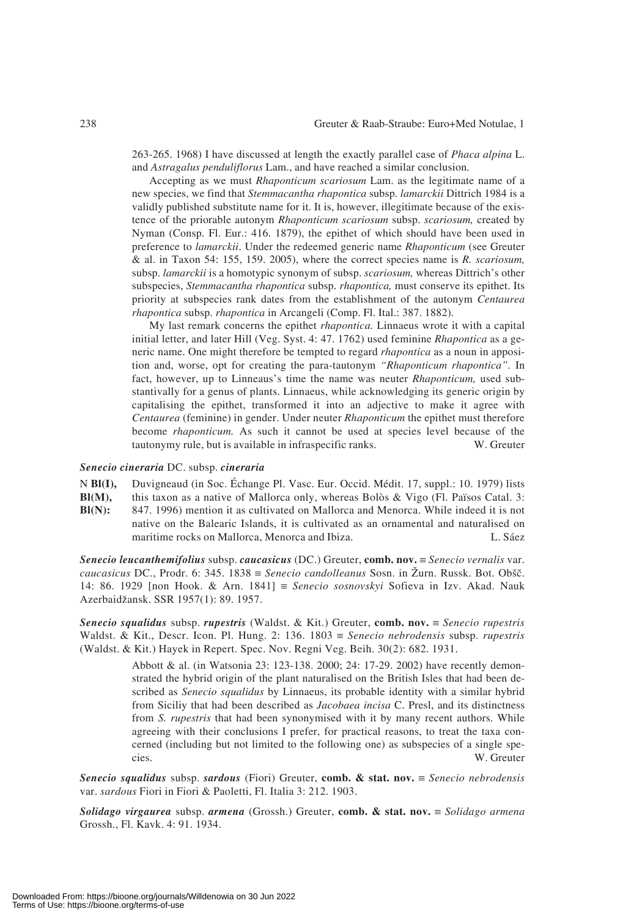263-265. 1968) I have discussed at length the exactly parallel case of *Phaca alpina* L. and *Astragalus penduliflorus* Lam., and have reached a similar conclusion.

Accepting as we must *Rhaponticum scariosum* Lam. as the legitimate name of a new species, we find that *Stemmacantha rhapontica* subsp. *lamarckii* Dittrich 1984 is a validly published substitute name for it. It is, however, illegitimate because of the existence of the priorable autonym *Rhaponticum scariosum* subsp. *scariosum,* created by Nyman (Consp. Fl. Eur.: 416. 1879), the epithet of which should have been used in preference to *lamarckii*. Under the redeemed generic name *Rhaponticum* (see Greuter & al. in Taxon 54: 155, 159. 2005), where the correct species name is *R. scariosum,* subsp. *lamarckii* is a homotypic synonym of subsp. *scariosum,* whereas Dittrich's other subspecies, *Stemmacantha rhapontica* subsp. *rhapontica,* must conserve its epithet. Its priority at subspecies rank dates from the establishment of the autonym *Centaurea rhapontica* subsp. *rhapontica* in Arcangeli (Comp. Fl. Ital.: 387. 1882).

My last remark concerns the epithet *rhapontica.* Linnaeus wrote it with a capital initial letter, and later Hill (Veg. Syst. 4: 47. 1762) used feminine *Rhapontica* as a generic name. One might therefore be tempted to regard *rhapontica* as a noun in apposition and, worse, opt for creating the para-tautonym *"Rhaponticum rhapontica".* In fact, however, up to Linneaus's time the name was neuter *Rhaponticum,* used substantivally for a genus of plants. Linnaeus, while acknowledging its generic origin by capitalising the epithet, transformed it into an adjective to make it agree with *Centaurea* (feminine) in gender. Under neuter *Rhaponticum* the epithet must therefore become *rhaponticum.* As such it cannot be used at species level because of the tautonymy rule, but is available in infraspecific ranks. W. Greuter

#### *Senecio cineraria* DC. subsp. *cineraria*

N **Bl(I), Bl(M), Bl(N):** Duvigneaud (in Soc. Échange Pl. Vasc. Eur. Occid. Médit. 17, suppl.: 10. 1979) lists this taxon as a native of Mallorca only, whereas Bolòs & Vigo (Fl. Països Catal. 3: 847. 1996) mention it as cultivated on Mallorca and Menorca. While indeed it is not native on the Balearic Islands, it is cultivated as an ornamental and naturalised on maritime rocks on Mallorca, Menorca and Ibiza. L. Sáez

*Senecio leucanthemifolius* subsp. *caucasicus* (DC.) Greuter, **comb. nov.** ≡ *Senecio vernalis* var. *caucasicus* DC., Prodr. 6: 345. 1838 ≡ *Senecio candolleanus* Sosn. in Zurn. Russk. Bot. Obsc. 14: 86. 1929 [non Hook. & Arn. 1841] ≡ *Senecio sosnovskyi* Sofieva in Izv. Akad. Nauk Azerbaidzansk. SSR 1957(1): 89. 1957.

*Senecio squalidus* subsp. *rupestris* (Waldst. & Kit.) Greuter, **comb. nov.** ≡ *Senecio rupestris* Waldst. & Kit., Descr. Icon. Pl. Hung. 2: 136. 1803 ≡ *Senecio nebrodensis* subsp. *rupestris* (Waldst. & Kit.) Hayek in Repert. Spec. Nov. Regni Veg. Beih. 30(2): 682. 1931.

> Abbott & al. (in Watsonia 23: 123-138. 2000; 24: 17-29. 2002) have recently demonstrated the hybrid origin of the plant naturalised on the British Isles that had been described as *Senecio squalidus* by Linnaeus, its probable identity with a similar hybrid from Siciliy that had been described as *Jacobaea incisa* C. Presl, and its distinctness from *S. rupestris* that had been synonymised with it by many recent authors. While agreeing with their conclusions I prefer, for practical reasons, to treat the taxa concerned (including but not limited to the following one) as subspecies of a single species. W. Greuter

*Senecio squalidus* subsp. *sardous* (Fiori) Greuter, **comb. & stat. nov.** ≡ *Senecio nebrodensis* var. *sardous* Fiori in Fiori & Paoletti, Fl. Italia 3: 212. 1903.

*Solidago virgaurea* subsp. *armena* (Grossh.) Greuter, **comb. & stat. nov.** ≡ *Solidago armena* Grossh., Fl. Kavk. 4: 91. 1934.